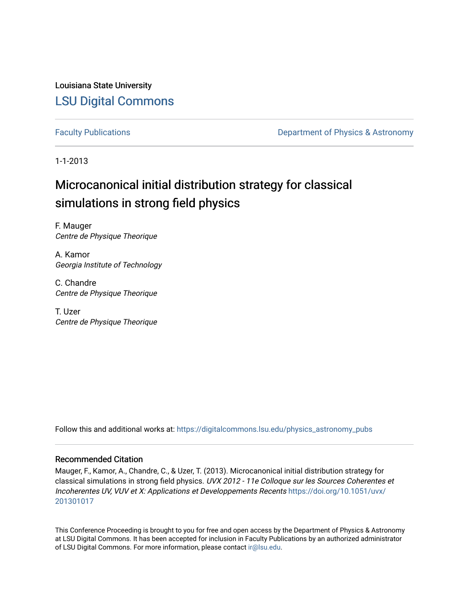Louisiana State University [LSU Digital Commons](https://digitalcommons.lsu.edu/)

[Faculty Publications](https://digitalcommons.lsu.edu/physics_astronomy_pubs) **Exercise 2 and Table 2 and Table 2 and Table 2 and Table 2 and Table 2 and Table 2 and Table 2 and Table 2 and Table 2 and Table 2 and Table 2 and Table 2 and Table 2 and Table 2 and Table 2 and Table** 

1-1-2013

# Microcanonical initial distribution strategy for classical simulations in strong field physics

F. Mauger Centre de Physique Theorique

A. Kamor Georgia Institute of Technology

C. Chandre Centre de Physique Theorique

T. Uzer Centre de Physique Theorique

Follow this and additional works at: [https://digitalcommons.lsu.edu/physics\\_astronomy\\_pubs](https://digitalcommons.lsu.edu/physics_astronomy_pubs?utm_source=digitalcommons.lsu.edu%2Fphysics_astronomy_pubs%2F3322&utm_medium=PDF&utm_campaign=PDFCoverPages) 

## Recommended Citation

Mauger, F., Kamor, A., Chandre, C., & Uzer, T. (2013). Microcanonical initial distribution strategy for classical simulations in strong field physics. UVX 2012 - 11e Colloque sur les Sources Coherentes et Incoherentes UV, VUV et X: Applications et Developpements Recents [https://doi.org/10.1051/uvx/](https://doi.org/10.1051/uvx/201301017) [201301017](https://doi.org/10.1051/uvx/201301017) 

This Conference Proceeding is brought to you for free and open access by the Department of Physics & Astronomy at LSU Digital Commons. It has been accepted for inclusion in Faculty Publications by an authorized administrator of LSU Digital Commons. For more information, please contact [ir@lsu.edu](mailto:ir@lsu.edu).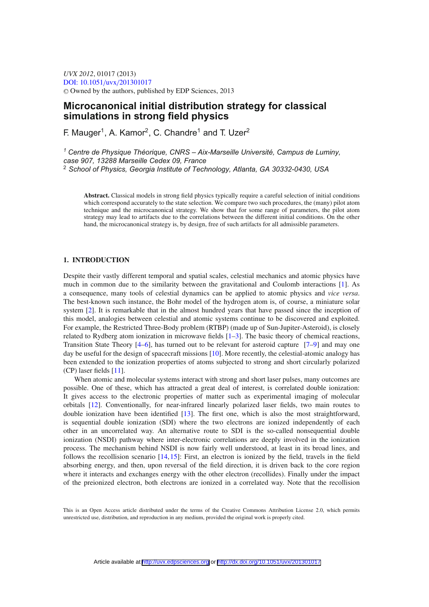*UVX 2012*, 01017 (2013) [DOI: 10.1051](http://dx.doi.org/10.1051/uvx/201301017)/uvx/201301017 -<sup>C</sup> Owned by the authors, published by EDP Sciences, 2013

## **Microcanonical initial distribution strategy for classical simulations in strong field physics**

F. Mauger<sup>1</sup>, A. Kamor<sup>2</sup>, C. Chandre<sup>1</sup> and T. Uzer<sup>2</sup>

*<sup>1</sup> Centre de Physique Théorique, CNRS – Aix-Marseille Université, Campus de Luminy, case 907, 13288 Marseille Cedex 09, France* <sup>2</sup> *School of Physics, Georgia Institute of Technology, Atlanta, GA 30332-0430, USA*

**Abstract.** Classical models in strong field physics typically require a careful selection of initial conditions which correspond accurately to the state selection. We compare two such procedures, the (many) pilot atom technique and the microcanonical strategy. We show that for some range of parameters, the pilot atom strategy may lead to artifacts due to the correlations between the different initial conditions. On the other hand, the microcanonical strategy is, by design, free of such artifacts for all admissible parameters.

## **1. INTRODUCTION**

Despite their vastly different temporal and spatial scales, celestial mechanics and atomic physics have much in common due to the similarity between the gravitational and Coulomb interactions [\[1](#page-8-0)]. As a consequence, many tools of celestial dynamics can be applied to atomic physics and *vice versa*. The best-known such instance, the Bohr model of the hydrogen atom is, of course, a miniature solar system [\[2](#page-8-1)]. It is remarkable that in the almost hundred years that have passed since the inception of this model, analogies between celestial and atomic systems continue to be discovered and exploited. For example, the Restricted Three-Body problem (RTBP) (made up of Sun-Jupiter-Asteroid), is closely related to Rydberg atom ionization in microwave fields [\[1](#page-8-0)[–3](#page-8-2)]. The basic theory of chemical reactions, Transition State Theory [\[4](#page-8-3)[–6\]](#page-8-4), has turned out to be relevant for asteroid capture [\[7](#page-8-5)[–9\]](#page-8-6) and may one day be useful for the design of spacecraft missions [\[10\]](#page-8-7). More recently, the celestial-atomic analogy has been extended to the ionization properties of atoms subjected to strong and short circularly polarized (CP) laser fields [\[11\]](#page-8-8).

When atomic and molecular systems interact with strong and short laser pulses, many outcomes are possible. One of these, which has attracted a great deal of interest, is correlated double ionization: It gives access to the electronic properties of matter such as experimental imaging of molecular orbitals [\[12](#page-8-9)]. Conventionally, for near-infrared linearly polarized laser fields, two main routes to double ionization have been identified [\[13](#page-8-10)]. The first one, which is also the most straightforward, is sequential double ionization (SDI) where the two electrons are ionized independently of each other in an uncorrelated way. An alternative route to SDI is the so-called nonsequential double ionization (NSDI) pathway where inter-electronic correlations are deeply involved in the ionization process. The mechanism behind NSDI is now fairly well understood, at least in its broad lines, and follows the recollision scenario [\[14](#page-8-11),[15\]](#page-8-12): First, an electron is ionized by the field, travels in the field absorbing energy, and then, upon reversal of the field direction, it is driven back to the core region where it interacts and exchanges energy with the other electron (recollides). Finally under the impact of the preionized electron, both electrons are ionized in a correlated way. Note that the recollision

This is an Open Access article distributed under the terms of the Creative Commons Attribution License 2.0, which permits unrestricted use, distribution, and reproduction in any medium, provided the original work is properly cited.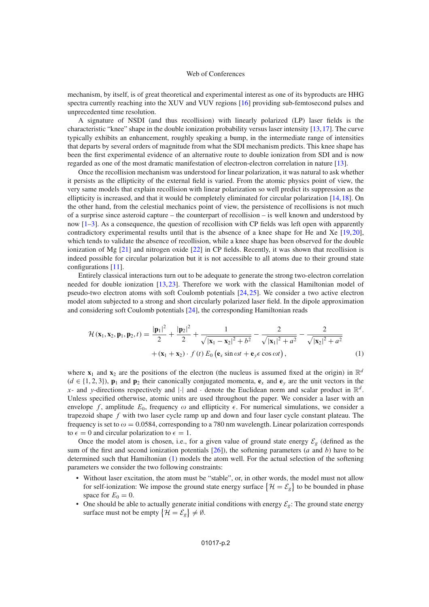mechanism, by itself, is of great theoretical and experimental interest as one of its byproducts are HHG spectra currently reaching into the XUV and VUV regions [\[16](#page-8-13)] providing sub-femtosecond pulses and unprecedented time resolution.

A signature of NSDI (and thus recollision) with linearly polarized (LP) laser fields is the characteristic "knee" shape in the double ionization probability versus laser intensity [\[13,](#page-8-10)[17\]](#page-8-14). The curve typically exhibits an enhancement, roughly speaking a bump, in the intermediate range of intensities that departs by several orders of magnitude from what the SDI mechanism predicts. This knee shape has been the first experimental evidence of an alternative route to double ionization from SDI and is now regarded as one of the most dramatic manifestation of electron-electron correlation in nature [\[13](#page-8-10)].

Once the recollision mechanism was understood for linear polarization, it was natural to ask whether it persists as the ellipticity of the external field is varied. From the atomic physics point of view, the very same models that explain recollision with linear polarization so well predict its suppression as the ellipticity is increased, and that it would be completely eliminated for circular polarization [\[14,](#page-8-11)[18](#page-8-15)]. On the other hand, from the celestial mechanics point of view, the persistence of recollisions is not much of a surprise since asteroid capture – the counterpart of recollision – is well known and understood by now [\[1](#page-8-0)[–3\]](#page-8-2). As a consequence, the question of recollision with CP fields was left open with apparently contradictory experimental results until that is the absence of a knee shape for He and Xe [\[19](#page-8-16),[20\]](#page-8-17), which tends to validate the absence of recollision, while a knee shape has been observed for the double ionization of Mg [\[21\]](#page-8-18) and nitrogen oxide [\[22\]](#page-8-19) in CP fields. Recently, it was shown that recollision is indeed possible for circular polarization but it is not accessible to all atoms due to their ground state configurations [\[11](#page-8-8)].

Entirely classical interactions turn out to be adequate to generate the strong two-electron correlation needed for double ionization [\[13](#page-8-10),[23\]](#page-8-20). Therefore we work with the classical Hamiltonian model of pseudo-two electron atoms with soft Coulomb potentials [\[24,](#page-8-21)[25\]](#page-8-22). We consider a two active electron model atom subjected to a strong and short circularly polarized laser field. In the dipole approximation and considering soft Coulomb potentials [\[24](#page-8-21)], the corresponding Hamiltonian reads

$$
\mathcal{H}(\mathbf{x}_1, \mathbf{x}_2, \mathbf{p}_1, \mathbf{p}_2, t) = \frac{|\mathbf{p}_1|^2}{2} + \frac{|\mathbf{p}_2|^2}{2} + \frac{1}{\sqrt{|\mathbf{x}_1 - \mathbf{x}_2|^2 + b^2}} - \frac{2}{\sqrt{|\mathbf{x}_1|^2 + a^2}} - \frac{2}{\sqrt{|\mathbf{x}_2|^2 + a^2}} + (\mathbf{x}_1 + \mathbf{x}_2) \cdot f(t) E_0 \left(\mathbf{e}_x \sin \omega t + \mathbf{e}_y \epsilon \cos \omega t\right), \tag{1}
$$

<span id="page-2-0"></span>where  $\mathbf{x}_1$  and  $\mathbf{x}_2$  are the positions of the electron (the nucleus is assumed fixed at the origin) in  $\mathbb{R}^d$  $(d \in \{1, 2, 3\})$ ,  $\mathbf{p}_1$  and  $\mathbf{p}_2$  their canonically conjugated momenta,  $\mathbf{e}_x$  and  $\mathbf{e}_y$  are the unit vectors in the x- and y-directions respectively and |·| and · denote the Euclidean norm and scalar product in  $\mathbb{R}^d$ . Unless specified otherwise, atomic units are used throughout the paper. We consider a laser with an envelope f, amplitude  $E_0$ , frequency  $\omega$  and ellipticity  $\epsilon$ . For numerical simulations, we consider a trapezoid shape f with two laser cycle ramp up and down and four laser cycle constant plateau. The frequency is set to  $\omega = 0.0584$ , corresponding to a 780 nm wavelength. Linear polarization corresponds to  $\epsilon = 0$  and circular polarization to  $\epsilon = 1$ .

Once the model atom is chosen, i.e., for a given value of ground state energy  $\mathcal{E}_g$  (defined as the sum of the first and second ionization potentials  $[26]$  $[26]$ ), the softening parameters (*a* and *b*) have to be determined such that Hamiltonian [\(1\)](#page-2-0) models the atom well. For the actual selection of the softening parameters we consider the two following constraints:

- Without laser excitation, the atom must be "stable", or, in other words, the model must not allow for self-ionization: We impose the ground state energy surface  $\{\mathcal{H} = \mathcal{E}_g\}$  to be bounded in phase space for  $E_0 = 0$ .
- One should be able to actually generate initial conditions with energy  $\mathcal{E}_g$ : The ground state energy surface must not be empty  $\{\mathcal{H} = \mathcal{E}_g\} \neq \emptyset$ .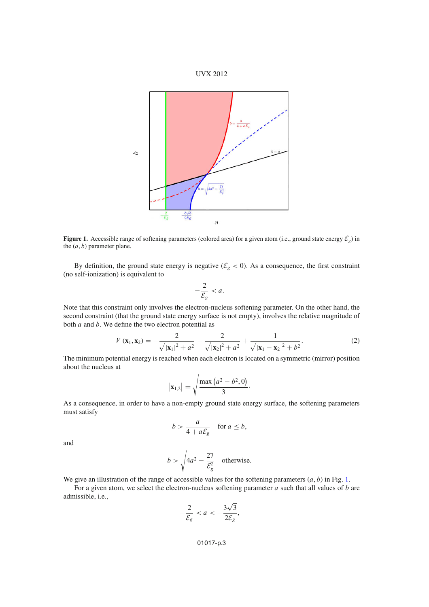

<span id="page-3-0"></span>

**Figure 1.** Accessible range of softening parameters (colored area) for a given atom (i.e., ground state energy  $\mathcal{E}_g$ ) in the  $(a, b)$  parameter plane.

By definition, the ground state energy is negative ( $\mathcal{E}_g < 0$ ). As a consequence, the first constraint (no self-ionization) is equivalent to

$$
-\frac{2}{\mathcal{E}_g} < a.
$$

Note that this constraint only involves the electron-nucleus softening parameter. On the other hand, the second constraint (that the ground state energy surface is not empty), involves the relative magnitude of both  $a$  and  $b$ . We define the two electron potential as

$$
V(\mathbf{x}_1, \mathbf{x}_2) = -\frac{2}{\sqrt{|\mathbf{x}_1|^2 + a^2}} - \frac{2}{\sqrt{|\mathbf{x}_2|^2 + a^2}} + \frac{1}{\sqrt{|\mathbf{x}_1 - \mathbf{x}_2|^2 + b^2}}.
$$
 (2)

<span id="page-3-1"></span>The minimum potential energy is reached when each electron is located on a symmetric (mirror) position about the nucleus at

$$
|\mathbf{x}_{1,2}| = \sqrt{\frac{\max (a^2 - b^2, 0)}{3}}
$$
.

As a consequence, in order to have a non-empty ground state energy surface, the softening parameters must satisfy

$$
b > \frac{a}{4 + a\mathcal{E}_g} \quad \text{for } a \le b,
$$

and

$$
b > \sqrt{4a^2 - \frac{27}{\mathcal{E}_g^2}}
$$
 otherwise.

We give an illustration of the range of accessible values for the softening parameters  $(a, b)$  in Fig. [1.](#page-3-0)

For a given atom, we select the electron-nucleus softening parameter  $a$  such that all values of  $b$  are admissible, i.e.,

$$
-\frac{2}{\mathcal{E}_g} < a < -\frac{3\sqrt{3}}{2\mathcal{E}_g},
$$

## 01017-p.3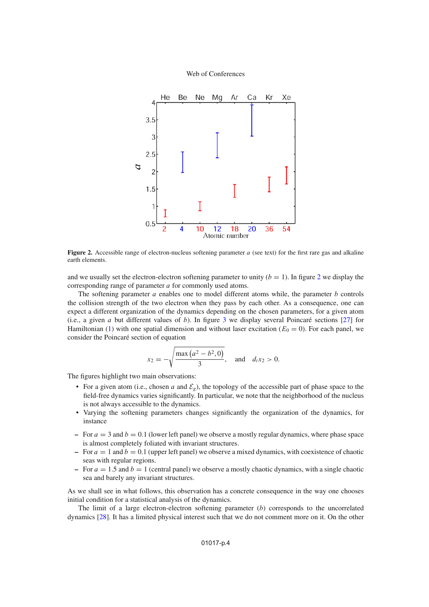<span id="page-4-0"></span>

**Figure 2.** Accessible range of electron-nucleus softening parameter a (see text) for the first rare gas and alkaline earth elements.

and we usually set the electron-electron softening parameter to unity  $(b = 1)$ . In figure [2](#page-4-0) we display the corresponding range of parameter a for commonly used atoms.

The softening parameter  $a$  enables one to model different atoms while, the parameter  $b$  controls the collision strength of the two electron when they pass by each other. As a consequence, one can expect a different organization of the dynamics depending on the chosen parameters, for a given atom (i.e., a given  $a$  but different values of  $b$ ). In figure [3](#page-5-0) we display several Poincaré sections [\[27\]](#page-8-24) for Hamiltonian [\(1\)](#page-2-0) with one spatial dimension and without laser excitation ( $E_0 = 0$ ). For each panel, we consider the Poincaré section of equation

$$
x_2 = -\sqrt{\frac{\max(a^2 - b^2, 0)}{3}}, \text{ and } d_t x_2 > 0.
$$

The figures highlight two main observations:

- For a given atom (i.e., chosen a and  $\mathcal{E}_g$ ), the topology of the accessible part of phase space to the field-free dynamics varies significantly. In particular, we note that the neighborhood of the nucleus is not always accessible to the dynamics.
- Varying the softening parameters changes significantly the organization of the dynamics, for instance
- $\epsilon$  For  $a = 3$  and  $b = 0.1$  (lower left panel) we observe a mostly regular dynamics, where phase space is almost completely foliated with invariant structures.
- $P^{\dagger}$  For  $a = 1$  and  $b = 0.1$  (upper left panel) we observe a mixed dynamics, with coexistence of chaotic seas with regular regions.
- $P^{\text{or}}\, a = 1.5$  and  $b = 1$  (central panel) we observe a mostly chaotic dynamics, with a single chaotic sea and barely any invariant structures.

As we shall see in what follows, this observation has a concrete consequence in the way one chooses initial condition for a statistical analysis of the dynamics.

The limit of a large electron-electron softening parameter  $(b)$  corresponds to the uncorrelated dynamics [\[28\]](#page-8-25). It has a limited physical interest such that we do not comment more on it. On the other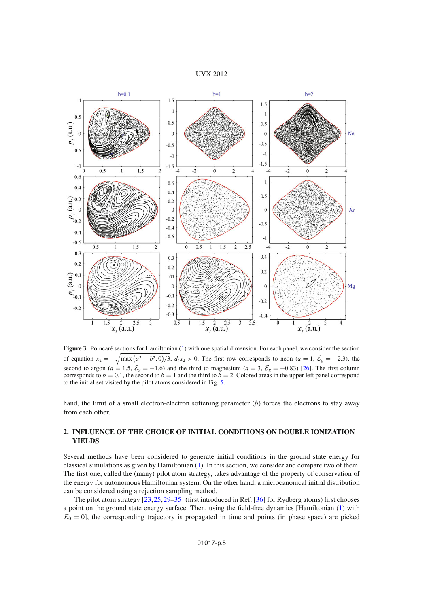#### UVX 2012

<span id="page-5-0"></span>

**Figure 3.** Poincaré sections for Hamiltonian [\(1\)](#page-2-0) with one spatial dimension. For each panel, we consider the section of equation  $x_2 = -\sqrt{\max(a^2 - b^2, 0)/3}$ ,  $d_t x_2 > 0$ . The first row corresponds to neon  $(a = 1, \mathcal{E}_g = -2.3)$ , the second to argon ( $a = 1.5$ ,  $\mathcal{E}_g = -1.6$ ) and the third to magnesium ( $a = 3$ ,  $\mathcal{E}_g = -0.83$ ) [\[26](#page-8-23)]. The first column corresponds to  $b = 0.1$ , the second to  $b = 1$  and the third to  $b = 2$ . Colored areas in the upper left to the initial set visited by the pilot atoms considered in Fig. [5.](#page-7-0)

hand, the limit of a small electron-electron softening parameter  $(b)$  forces the electrons to stay away from each other.

## **2. INFLUENCE OF THE CHOICE OF INITIAL CONDITIONS ON DOUBLE IONIZATION YIELDS**

Several methods have been considered to generate initial conditions in the ground state energy for classical simulations as given by Hamiltonian [\(1\)](#page-2-0). In this section, we consider and compare two of them. The first one, called the (many) pilot atom strategy, takes advantage of the property of conservation of the energy for autonomous Hamiltonian system. On the other hand, a microcanonical initial distribution can be considered using a rejection sampling method.

The pilot atom strategy [\[23](#page-8-20)[,25](#page-8-22),[29](#page-8-26)[–35\]](#page-8-27) (first introduced in Ref. [\[36](#page-8-28)] for Rydberg atoms) first chooses a point on the ground state energy surface. Then, using the field-free dynamics [Hamiltonian [\(1\)](#page-2-0) with  $E_0 = 0$ , the corresponding trajectory is propagated in time and points (in phase space) are picked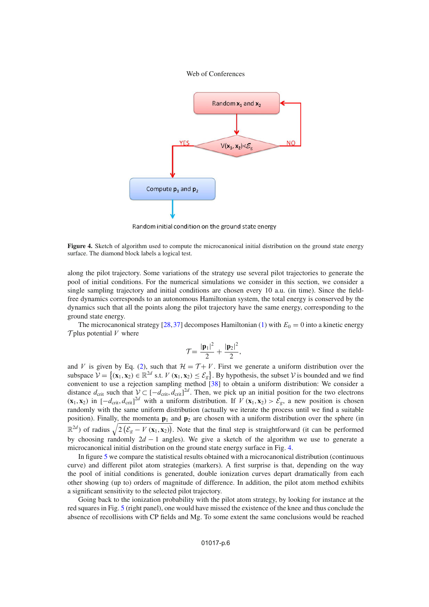<span id="page-6-0"></span>

Random initial condition on the ground state energy

**Figure 4.** Sketch of algorithm used to compute the microcanonical initial distribution on the ground state energy surface. The diamond block labels a logical test.

along the pilot trajectory. Some variations of the strategy use several pilot trajectories to generate the pool of initial conditions. For the numerical simulations we consider in this section, we consider a single sampling trajectory and initial conditions are chosen every 10 a.u. (in time). Since the fieldfree dynamics corresponds to an autonomous Hamiltonian system, the total energy is conserved by the dynamics such that all the points along the pilot trajectory have the same energy, corresponding to the ground state energy.

The microcanonical strategy [\[28](#page-8-25)[,37](#page-8-29)] decomposes Hamiltonian [\(1\)](#page-2-0) with  $E_0 = 0$  into a kinetic energy  $\mathcal T$  plus potential V where

$$
\mathcal{T} = \frac{|\mathbf{p}_1|^2}{2} + \frac{|\mathbf{p}_2|^2}{2},
$$

and V is given by Eq. [\(2\)](#page-3-1), such that  $\mathcal{H} = \mathcal{T} + V$ . First we generate a uniform distribution over the subspace  $V = \{(\mathbf{x}_1, \mathbf{x}_2) \in \mathbb{R}^{2d} \text{ s.t. } V(\mathbf{x}_1, \mathbf{x}_2) \le \mathcal{E}_g\}$ . By hypothesis, the subset V is bounded and we find convenient to use a rejection sampling method [\[38\]](#page-8-30) to obtain a uniform distribution: We consider a distance  $d_{\text{crit}}$  such that  $\mathcal{V} \subset [-d_{\text{crit}}, d_{\text{crit}}]^{2d}$ . Then, we pick up an initial position for the two electrons  $(\mathbf{x}_1, \mathbf{x}_2)$  in  $[-d_{\text{crit}}, d_{\text{crit}}]^{\text{2d}}$  with a uniform distribution. If  $V(\mathbf{x}_1, \mathbf{x}_2) > \mathcal{E}_g$ , a new position is chosen randomly with the same uniform distribution (actually we iterate the process until we find a suitable position). Finally, the momenta **p**<sup>1</sup> and **p**<sup>2</sup> are chosen with a uniform distribution over the sphere (in  $\mathbb{R}^{2d}$ ) of radius  $\sqrt{2(\mathcal{E}_g - V(\mathbf{x}_1, \mathbf{x}_2))}$ . Note that the final step is straightforward (it can be performed by choosing randomly  $2d - 1$  angles). We give a sketch of the algorithm we use to generate a microcanonical initial distribution on the ground state energy surface in Fig. [4.](#page-6-0)

In figure [5](#page-7-0) we compare the statistical results obtained with a microcanonical distribution (continuous curve) and different pilot atom strategies (markers). A first surprise is that, depending on the way the pool of initial conditions is generated, double ionization curves depart dramatically from each other showing (up to) orders of magnitude of difference. In addition, the pilot atom method exhibits a significant sensitivity to the selected pilot trajectory.

Going back to the ionization probability with the pilot atom strategy, by looking for instance at the red squares in Fig. [5](#page-7-0) (right panel), one would have missed the existence of the knee and thus conclude the absence of recollisions with CP fields and Mg. To some extent the same conclusions would be reached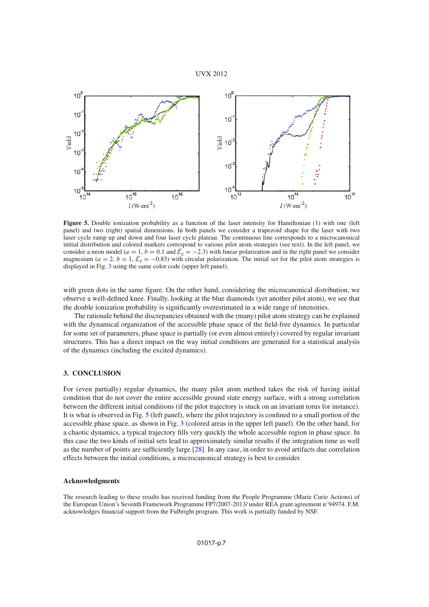

<span id="page-7-0"></span>

Figure 5. Double ionization probability as a function of the laser intensity for Hamiltonian [\(1\)](#page-2-0) with one (left panel) and two (right) spatial dimensions. In both panels we consider a trapezoid shape for the laser with two laser cycle ramp up and down and four laser cycle plateau. The continuous line corresponds to a microcanonical initial distribution and colored markers correspond to various pilot atom strategies (see text). In the left panel, we consider a neon model ( $a = 1$ ,  $b = 0.1$  and  $\mathcal{E}_g = -2.3$ ) with linear polarization and in the right panel we consider magnesium ( $a = 2$ ,  $b = 1$ ,  $\mathcal{E}_g = -0.83$ ) with circular polarization. The initial set for the pilot atom strategies is displayed in Fig. [3](#page-5-0) using the same color code (upper left panel).

with green dots in the same figure. On the other hand, considering the microcanonical distribution, we observe a well-defined knee. Finally, looking at the blue diamonds (yet another pilot atom), we see that the double ionization probability is significantly overestimated in a wide range of intensities.

The rationale behind the discrepancies obtained with the (many) pilot atom strategy can be explained with the dynamical organization of the accessible phase space of the field-free dynamics. In particular for some set of parameters, phase space is partially (or even almost entirely) covered by regular invariant structures. This has a direct impact on the way initial conditions are generated for a statistical analysis of the dynamics (including the excited dynamics).

#### **3. CONCLUSION**

For (even partially) regular dynamics, the many pilot atom method takes the risk of having initial condition that do not cover the entire accessible ground state energy surface, with a strong correlation between the different initial conditions (if the pilot trajectory is stuck on an invariant torus for instance). It is what is observed in Fig. [5](#page-7-0) (left panel), where the pilot trajectory is confined to a small portion of the accessible phase space, as shown in Fig. [3](#page-5-0) (colored areas in the upper left panel). On the other hand, for a chaotic dynamics, a typical trajectory fills very quickly the whole accessible region in phase space. In this case the two kinds of initial sets lead to approximately similar results if the integration time as well as the number of points are sufficiently large [\[28\]](#page-8-25). In any case, in order to avoid artifacts due correlation effects between the initial conditions, a microcanonical strategy is best to consider.

#### **Acknowledgments**

The research leading to these results has received funding from the People Programme (Marie Curie Actions) of the European Union's Seventh Framework Programme FP7/2007-2013/ under REA grant agreement n◦94974. F.M. acknowledges financial support from the Fulbright program. This work is partially funded by NSF.